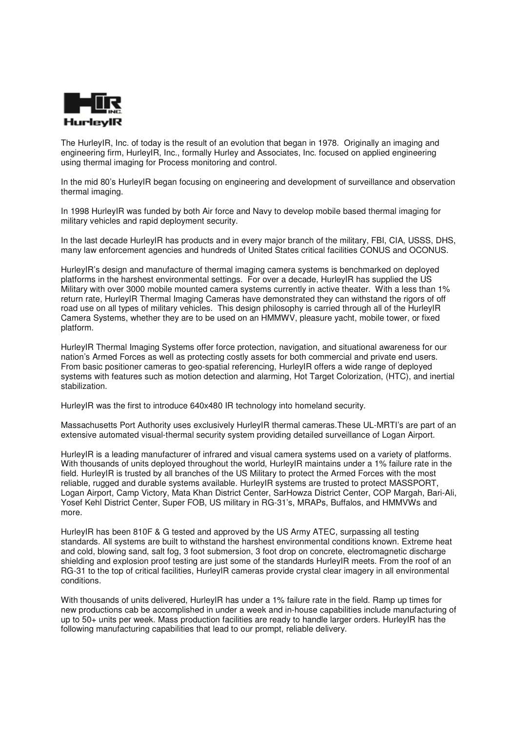

The HurleyIR, Inc. of today is the result of an evolution that began in 1978. Originally an imaging and engineering firm, HurleyIR, Inc., formally Hurley and Associates, Inc. focused on applied engineering using thermal imaging for Process monitoring and control.

In the mid 80's HurleyIR began focusing on engineering and development of surveillance and observation thermal imaging.

In 1998 HurleyIR was funded by both Air force and Navy to develop mobile based thermal imaging for military vehicles and rapid deployment security.

In the last decade HurleyIR has products and in every major branch of the military, FBI, CIA, USSS, DHS, many law enforcement agencies and hundreds of United States critical facilities CONUS and OCONUS.

HurleyIR's design and manufacture of thermal imaging camera systems is benchmarked on deployed platforms in the harshest environmental settings. For over a decade, HurleyIR has supplied the US Military with over 3000 mobile mounted camera systems currently in active theater. With a less than 1% return rate, HurleyIR Thermal Imaging Cameras have demonstrated they can withstand the rigors of off road use on all types of military vehicles. This design philosophy is carried through all of the HurleyIR Camera Systems, whether they are to be used on an HMMWV, pleasure yacht, mobile tower, or fixed platform.

HurleyIR Thermal Imaging Systems offer force protection, navigation, and situational awareness for our nation's Armed Forces as well as protecting costly assets for both commercial and private end users. From basic positioner cameras to geo-spatial referencing, HurleyIR offers a wide range of deployed systems with features such as motion detection and alarming, Hot Target Colorization, (HTC), and inertial stabilization.

HurleyIR was the first to introduce 640x480 IR technology into homeland security.

Massachusetts Port Authority uses exclusively HurleyIR thermal cameras.These UL-MRTI's are part of an extensive automated visual-thermal security system providing detailed surveillance of Logan Airport.

HurleyIR is a leading manufacturer of infrared and visual camera systems used on a variety of platforms. With thousands of units deployed throughout the world, HurleyIR maintains under a 1% failure rate in the field. HurleyIR is trusted by all branches of the US Military to protect the Armed Forces with the most reliable, rugged and durable systems available. HurleyIR systems are trusted to protect MASSPORT, Logan Airport, Camp Victory, Mata Khan District Center, SarHowza District Center, COP Margah, Bari-Ali, Yosef Kehl District Center, Super FOB, US military in RG-31's, MRAPs, Buffalos, and HMMVWs and more.

HurleyIR has been 810F & G tested and approved by the US Army ATEC, surpassing all testing standards. All systems are built to withstand the harshest environmental conditions known. Extreme heat and cold, blowing sand, salt fog, 3 foot submersion, 3 foot drop on concrete, electromagnetic discharge shielding and explosion proof testing are just some of the standards HurleyIR meets. From the roof of an RG-31 to the top of critical facilities, HurleyIR cameras provide crystal clear imagery in all environmental conditions.

With thousands of units delivered, HurleyIR has under a 1% failure rate in the field. Ramp up times for new productions cab be accomplished in under a week and in-house capabilities include manufacturing of up to 50+ units per week. Mass production facilities are ready to handle larger orders. HurleyIR has the following manufacturing capabilities that lead to our prompt, reliable delivery.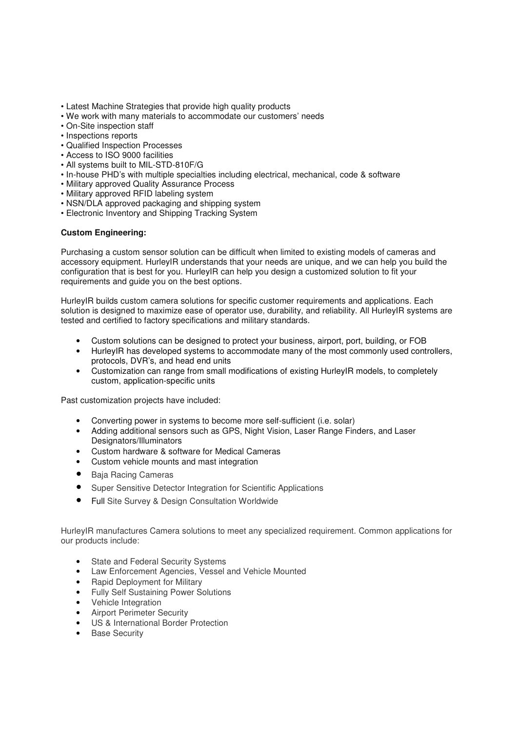- Latest Machine Strategies that provide high quality products
- We work with many materials to accommodate our customers' needs
- On-Site inspection staff
- Inspections reports
- Qualified Inspection Processes
- Access to ISO 9000 facilities
- All systems built to MIL-STD-810F/G
- In-house PHD's with multiple specialties including electrical, mechanical, code & software
- Military approved Quality Assurance Process
- Military approved RFID labeling system
- NSN/DLA approved packaging and shipping system
- Electronic Inventory and Shipping Tracking System

## **Custom Engineering:**

Purchasing a custom sensor solution can be difficult when limited to existing models of cameras and accessory equipment. HurleyIR understands that your needs are unique, and we can help you build the configuration that is best for you. HurleyIR can help you design a customized solution to fit your requirements and guide you on the best options.

HurleyIR builds custom camera solutions for specific customer requirements and applications. Each solution is designed to maximize ease of operator use, durability, and reliability. All HurleyIR systems are tested and certified to factory specifications and military standards.

- Custom solutions can be designed to protect your business, airport, port, building, or FOB
- HurleyIR has developed systems to accommodate many of the most commonly used controllers, protocols, DVR's, and head end units
- Customization can range from small modifications of existing HurleyIR models, to completely custom, application-specific units

Past customization projects have included:

- Converting power in systems to become more self-sufficient (i.e. solar)
- Adding additional sensors such as GPS, Night Vision, Laser Range Finders, and Laser Designators/Illuminators
- Custom hardware & software for Medical Cameras
- Custom vehicle mounts and mast integration
- Baja Racing Cameras
- Super Sensitive Detector Integration for Scientific Applications
- Full Site Survey & Design Consultation Worldwide

HurleyIR manufactures Camera solutions to meet any specialized requirement. Common applications for our products include:

- State and Federal Security Systems
- Law Enforcement Agencies, Vessel and Vehicle Mounted
- Rapid Deployment for Military
- Fully Self Sustaining Power Solutions
- Vehicle Integration
- Airport Perimeter Security
- US & International Border Protection
- Base Security